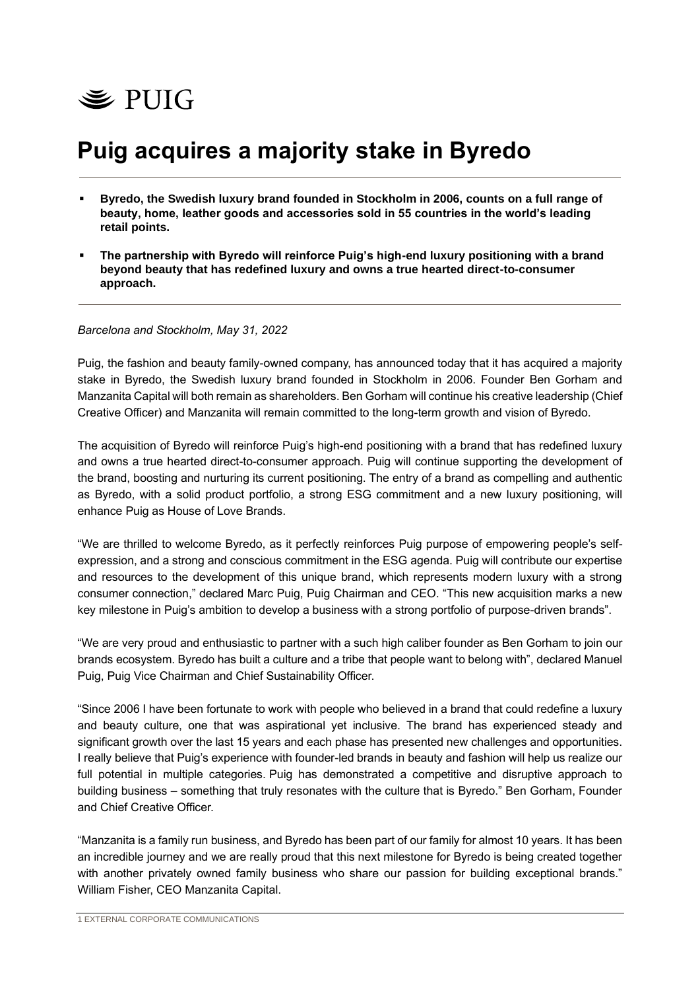

# **Puig acquires a majority stake in Byredo**

- Byredo, the Swedish luxury brand founded in Stockholm in 2006, counts on a full range of **beauty, home, leather goods and accessories sold in 55 countries in the world's leading retail points.**
- The partnership with Byredo will reinforce Puig's high-end luxury positioning with a brand **beyond beauty that has redefined luxury and owns a true hearted direct-to-consumer approach.**

## *Barcelona and Stockholm, May 31, 2022*

Puig, the fashion and beauty family-owned company, has announced today that it has acquired a majority stake in Byredo, the Swedish luxury brand founded in Stockholm in 2006. Founder Ben Gorham and Manzanita Capital will both remain as shareholders. Ben Gorham will continue his creative leadership (Chief Creative Officer) and Manzanita will remain committed to the long-term growth and vision of Byredo.

The acquisition of Byredo will reinforce Puig's high-end positioning with a brand that has redefined luxury and owns a true hearted direct-to-consumer approach. Puig will continue supporting the development of the brand, boosting and nurturing its current positioning. The entry of a brand as compelling and authentic as Byredo, with a solid product portfolio, a strong ESG commitment and a new luxury positioning, will enhance Puig as House of Love Brands.

"We are thrilled to welcome Byredo, as it perfectly reinforces Puig purpose of empowering people's selfexpression, and a strong and conscious commitment in the ESG agenda. Puig will contribute our expertise and resources to the development of this unique brand, which represents modern luxury with a strong consumer connection," declared Marc Puig, Puig Chairman and CEO. "This new acquisition marks a new key milestone in Puig's ambition to develop a business with a strong portfolio of purpose-driven brands".

"We are very proud and enthusiastic to partner with a such high caliber founder as Ben Gorham to join our brands ecosystem. Byredo has built a culture and a tribe that people want to belong with", declared Manuel Puig, Puig Vice Chairman and Chief Sustainability Officer.

"Since 2006 I have been fortunate to work with people who believed in a brand that could redefine a luxury and beauty culture, one that was aspirational yet inclusive. The brand has experienced steady and significant growth over the last 15 years and each phase has presented new challenges and opportunities. I really believe that Puig's experience with founder-led brands in beauty and fashion will help us realize our full potential in multiple categories. Puig has demonstrated a competitive and disruptive approach to building business – something that truly resonates with the culture that is Byredo." Ben Gorham, Founder and Chief Creative Officer.

"Manzanita is a family run business, and Byredo has been part of our family for almost 10 years. It has been an incredible journey and we are really proud that this next milestone for Byredo is being created together with another privately owned family business who share our passion for building exceptional brands." William Fisher, CEO Manzanita Capital.